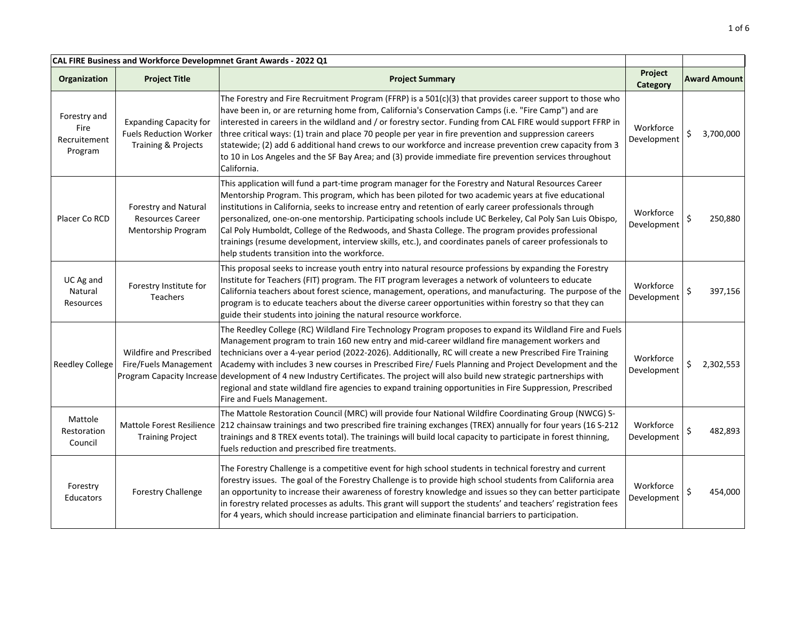| CAL FIRE Business and Workforce Developmnet Grant Awards - 2022 Q1 |                                                                                       |                                                                                                                                                                                                                                                                                                                                                                                                                                                                                                                                                                                                                                                                                                       |                          |                     |
|--------------------------------------------------------------------|---------------------------------------------------------------------------------------|-------------------------------------------------------------------------------------------------------------------------------------------------------------------------------------------------------------------------------------------------------------------------------------------------------------------------------------------------------------------------------------------------------------------------------------------------------------------------------------------------------------------------------------------------------------------------------------------------------------------------------------------------------------------------------------------------------|--------------------------|---------------------|
| Organization                                                       | <b>Project Title</b>                                                                  | <b>Project Summary</b>                                                                                                                                                                                                                                                                                                                                                                                                                                                                                                                                                                                                                                                                                | Project<br>Category      | <b>Award Amount</b> |
| Forestry and<br>Fire<br>Recruitement<br>Program                    | <b>Expanding Capacity for</b><br><b>Fuels Reduction Worker</b><br>Training & Projects | The Forestry and Fire Recruitment Program (FFRP) is a 501(c)(3) that provides career support to those who<br>have been in, or are returning home from, California's Conservation Camps (i.e. "Fire Camp") and are<br>interested in careers in the wildland and / or forestry sector. Funding from CAL FIRE would support FFRP in<br>three critical ways: (1) train and place 70 people per year in fire prevention and suppression careers<br>statewide; (2) add 6 additional hand crews to our workforce and increase prevention crew capacity from 3<br>to 10 in Los Angeles and the SF Bay Area; and (3) provide immediate fire prevention services throughout<br>California.                      | Workforce<br>Development | Ś<br>3,700,000      |
| Placer Co RCD                                                      | Forestry and Natural<br><b>Resources Career</b><br>Mentorship Program                 | This application will fund a part-time program manager for the Forestry and Natural Resources Career<br>Mentorship Program. This program, which has been piloted for two academic years at five educational<br>institutions in California, seeks to increase entry and retention of early career professionals through<br>personalized, one-on-one mentorship. Participating schools include UC Berkeley, Cal Poly San Luis Obispo,<br>Cal Poly Humboldt, College of the Redwoods, and Shasta College. The program provides professional<br>trainings (resume development, interview skills, etc.), and coordinates panels of career professionals to<br>help students transition into the workforce. | Workforce<br>Development | Ś<br>250,880        |
| UC Ag and<br>Natural<br>Resources                                  | Forestry Institute for<br>Teachers                                                    | This proposal seeks to increase youth entry into natural resource professions by expanding the Forestry<br>Institute for Teachers (FIT) program. The FIT program leverages a network of volunteers to educate<br>California teachers about forest science, management, operations, and manufacturing. The purpose of the<br>program is to educate teachers about the diverse career opportunities within forestry so that they can<br>guide their students into joining the natural resource workforce.                                                                                                                                                                                               | Workforce<br>Development | 397,156             |
| <b>Reedley College</b>                                             | Wildfire and Prescribed<br>Fire/Fuels Management<br>Program Capacity Increase         | The Reedley College (RC) Wildland Fire Technology Program proposes to expand its Wildland Fire and Fuels<br>Management program to train 160 new entry and mid-career wildland fire management workers and<br>technicians over a 4-year period (2022-2026). Additionally, RC will create a new Prescribed Fire Training<br>Academy with includes 3 new courses in Prescribed Fire/ Fuels Planning and Project Development and the<br>development of 4 new Industry Certificates. The project will also build new strategic partnerships with<br>regional and state wildland fire agencies to expand training opportunities in Fire Suppression, Prescribed<br>Fire and Fuels Management.               | Workforce<br>Development | \$<br>2,302,553     |
| Mattole<br>Restoration<br>Council                                  | Mattole Forest Resilience<br><b>Training Project</b>                                  | The Mattole Restoration Council (MRC) will provide four National Wildfire Coordinating Group (NWCG) S-<br>212 chainsaw trainings and two prescribed fire training exchanges (TREX) annually for four years (16 S-212<br>trainings and 8 TREX events total). The trainings will build local capacity to participate in forest thinning,<br>fuels reduction and prescribed fire treatments.                                                                                                                                                                                                                                                                                                             | Workforce<br>Development | 482,893             |
| Forestry<br><b>Educators</b>                                       | <b>Forestry Challenge</b>                                                             | The Forestry Challenge is a competitive event for high school students in technical forestry and current<br>forestry issues. The goal of the Forestry Challenge is to provide high school students from California area<br>an opportunity to increase their awareness of forestry knowledge and issues so they can better participate<br>in forestry related processes as adults. This grant will support the students' and teachers' registration fees<br>for 4 years, which should increase participation and eliminate financial barriers to participation.                                                                                                                                        | Workforce<br>Development | Ś<br>454,000        |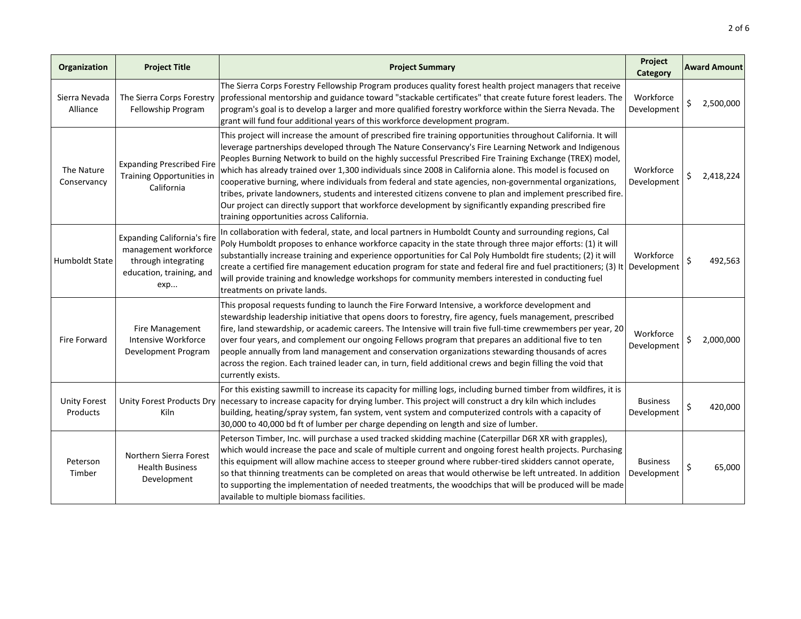| Organization                    | <b>Project Title</b>                                                                                                 | <b>Project Summary</b>                                                                                                                                                                                                                                                                                                                                                                                                                                                                                                                                                                                                                                                                                                                                                                                                             | Project<br>Category            | <b>Award Amount</b> |
|---------------------------------|----------------------------------------------------------------------------------------------------------------------|------------------------------------------------------------------------------------------------------------------------------------------------------------------------------------------------------------------------------------------------------------------------------------------------------------------------------------------------------------------------------------------------------------------------------------------------------------------------------------------------------------------------------------------------------------------------------------------------------------------------------------------------------------------------------------------------------------------------------------------------------------------------------------------------------------------------------------|--------------------------------|---------------------|
| Sierra Nevada<br>Alliance       | The Sierra Corps Forestry<br>Fellowship Program                                                                      | The Sierra Corps Forestry Fellowship Program produces quality forest health project managers that receive<br>professional mentorship and guidance toward "stackable certificates" that create future forest leaders. The<br>program's goal is to develop a larger and more qualified forestry workforce within the Sierra Nevada. The<br>grant will fund four additional years of this workforce development program.                                                                                                                                                                                                                                                                                                                                                                                                              | Workforce<br>Development       | \$<br>2,500,000     |
| The Nature<br>Conservancy       | <b>Expanding Prescribed Fire</b><br>Training Opportunities in<br>California                                          | This project will increase the amount of prescribed fire training opportunities throughout California. It will<br>leverage partnerships developed through The Nature Conservancy's Fire Learning Network and Indigenous<br>Peoples Burning Network to build on the highly successful Prescribed Fire Training Exchange (TREX) model,<br>which has already trained over 1,300 individuals since 2008 in California alone. This model is focused on<br>cooperative burning, where individuals from federal and state agencies, non-governmental organizations,<br>tribes, private landowners, students and interested citizens convene to plan and implement prescribed fire.<br>Our project can directly support that workforce development by significantly expanding prescribed fire<br>training opportunities across California. | Workforce<br>Development       | \$<br>2,418,224     |
| <b>Humboldt State</b>           | <b>Expanding California's fire</b><br>management workforce<br>through integrating<br>education, training, and<br>exp | In collaboration with federal, state, and local partners in Humboldt County and surrounding regions, Cal<br>Poly Humboldt proposes to enhance workforce capacity in the state through three major efforts: (1) it will<br>substantially increase training and experience opportunities for Cal Poly Humboldt fire students; (2) it will<br>create a certified fire management education program for state and federal fire and fuel practitioners; (3) It<br>will provide training and knowledge workshops for community members interested in conducting fuel<br>treatments on private lands.                                                                                                                                                                                                                                     | Workforce<br>Development       | \$<br>492,563       |
| <b>Fire Forward</b>             | Fire Management<br>Intensive Workforce<br>Development Program                                                        | This proposal requests funding to launch the Fire Forward Intensive, a workforce development and<br>stewardship leadership initiative that opens doors to forestry, fire agency, fuels management, prescribed<br>fire, land stewardship, or academic careers. The Intensive will train five full-time crewmembers per year, 20<br>over four years, and complement our ongoing Fellows program that prepares an additional five to ten<br>people annually from land management and conservation organizations stewarding thousands of acres<br>across the region. Each trained leader can, in turn, field additional crews and begin filling the void that<br>currently exists.                                                                                                                                                     | Workforce<br>Development       | \$<br>2,000,000     |
| <b>Unity Forest</b><br>Products | Kiln                                                                                                                 | For this existing sawmill to increase its capacity for milling logs, including burned timber from wildfires, it is<br>Unity Forest Products Dry necessary to increase capacity for drying lumber. This project will construct a dry kiln which includes<br>building, heating/spray system, fan system, vent system and computerized controls with a capacity of<br>30,000 to 40,000 bd ft of lumber per charge depending on length and size of lumber.                                                                                                                                                                                                                                                                                                                                                                             | <b>Business</b><br>Development | \$<br>420,000       |
| Peterson<br>Timber              | Northern Sierra Forest<br><b>Health Business</b><br>Development                                                      | Peterson Timber, Inc. will purchase a used tracked skidding machine (Caterpillar D6R XR with grapples),<br>which would increase the pace and scale of multiple current and ongoing forest health projects. Purchasing<br>this equipment will allow machine access to steeper ground where rubber-tired skidders cannot operate,<br>so that thinning treatments can be completed on areas that would otherwise be left untreated. In addition<br>to supporting the implementation of needed treatments, the woodchips that will be produced will be made<br>available to multiple biomass facilities.                                                                                                                                                                                                                               | <b>Business</b><br>Development | \$<br>65,000        |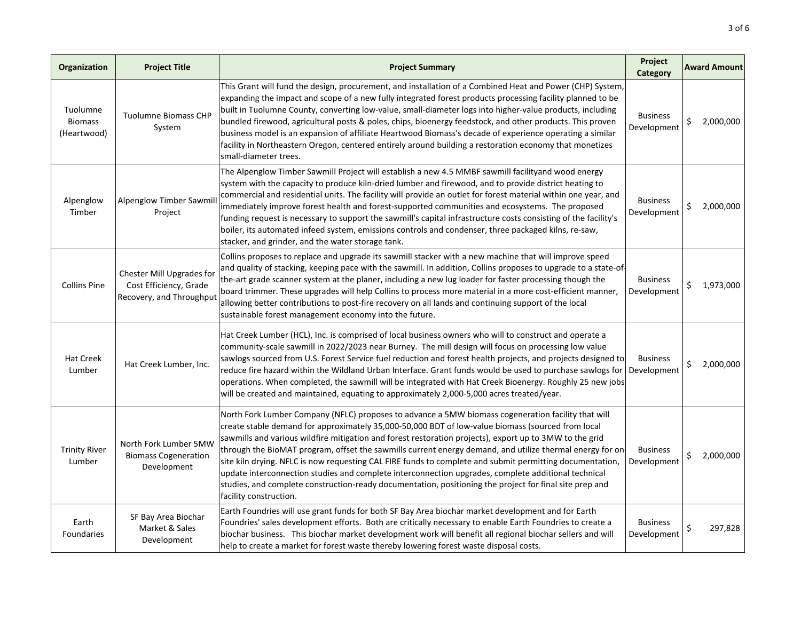| Organization                              | <b>Project Title</b>                                                            | <b>Project Summary</b>                                                                                                                                                                                                                                                                                                                                                                                                                                                                                                                                                                                                                                                                                                                                                                  | Project<br>Category            |    | <b>Award Amount</b> |
|-------------------------------------------|---------------------------------------------------------------------------------|-----------------------------------------------------------------------------------------------------------------------------------------------------------------------------------------------------------------------------------------------------------------------------------------------------------------------------------------------------------------------------------------------------------------------------------------------------------------------------------------------------------------------------------------------------------------------------------------------------------------------------------------------------------------------------------------------------------------------------------------------------------------------------------------|--------------------------------|----|---------------------|
| Tuolumne<br><b>Biomass</b><br>(Heartwood) | <b>Tuolumne Biomass CHP</b><br>System                                           | This Grant will fund the design, procurement, and installation of a Combined Heat and Power (CHP) System,<br>expanding the impact and scope of a new fully integrated forest products processing facility planned to be<br>built in Tuolumne County, converting low-value, small-diameter logs into higher-value products, including<br>bundled firewood, agricultural posts & poles, chips, bioenergy feedstock, and other products. This proven<br>business model is an expansion of affiliate Heartwood Biomass's decade of experience operating a similar<br>facility in Northeastern Oregon, centered entirely around building a restoration economy that monetizes<br>small-diameter trees.                                                                                       | <b>Business</b><br>Development | Ś. | 2,000,000           |
| Alpenglow<br>Timber                       | Alpenglow Timber Sawmil<br>Project                                              | The Alpenglow Timber Sawmill Project will establish a new 4.5 MMBF sawmill facilityand wood energy<br>system with the capacity to produce kiln-dried lumber and firewood, and to provide district heating to<br>commercial and residential units. The facility will provide an outlet for forest material within one year, and<br>immediately improve forest health and forest-supported communities and ecosystems. The proposed<br>funding request is necessary to support the sawmill's capital infrastructure costs consisting of the facility's<br>boiler, its automated infeed system, emissions controls and condenser, three packaged kilns, re-saw,<br>stacker, and grinder, and the water storage tank.                                                                       | <b>Business</b><br>Development | \$ | 2,000,000           |
| <b>Collins Pine</b>                       | Chester Mill Upgrades for<br>Cost Efficiency, Grade<br>Recovery, and Throughput | Collins proposes to replace and upgrade its sawmill stacker with a new machine that will improve speed<br>and quality of stacking, keeping pace with the sawmill. In addition, Collins proposes to upgrade to a state-of-<br>the-art grade scanner system at the planer, including a new lug loader for faster processing though the<br>board trimmer. These upgrades will help Collins to process more material in a more cost-efficient manner,<br>allowing better contributions to post-fire recovery on all lands and continuing support of the local<br>sustainable forest management economy into the future.                                                                                                                                                                     | <b>Business</b><br>Development | \$ | 1,973,000           |
| <b>Hat Creek</b><br>Lumber                | Hat Creek Lumber, Inc.                                                          | Hat Creek Lumber (HCL), Inc. is comprised of local business owners who will to construct and operate a<br>community-scale sawmill in 2022/2023 near Burney. The mill design will focus on processing low value<br>sawlogs sourced from U.S. Forest Service fuel reduction and forest health projects, and projects designed to<br>reduce fire hazard within the Wildland Urban Interface. Grant funds would be used to purchase sawlogs for<br>operations. When completed, the sawmill will be integrated with Hat Creek Bioenergy. Roughly 25 new jobs<br>will be created and maintained, equating to approximately 2,000-5,000 acres treated/year.                                                                                                                                    | <b>Business</b><br>Development | \$ | 2,000,000           |
| <b>Trinity River</b><br>Lumber            | North Fork Lumber 5MW<br><b>Biomass Cogeneration</b><br>Development             | North Fork Lumber Company (NFLC) proposes to advance a 5MW biomass cogeneration facility that will<br>create stable demand for approximately 35,000-50,000 BDT of low-value biomass (sourced from local<br>sawmills and various wildfire mitigation and forest restoration projects), export up to 3MW to the grid<br>through the BioMAT program, offset the sawmills current energy demand, and utilize thermal energy for on-<br>site kiln drying. NFLC is now requesting CAL FIRE funds to complete and submit permitting documentation,<br>update interconnection studies and complete interconnection upgrades, complete additional technical<br>studies, and complete construction-ready documentation, positioning the project for final site prep and<br>facility construction. | <b>Business</b><br>Development | \$ | 2,000,000           |
| Earth<br>Foundaries                       | SF Bay Area Biochar<br>Market & Sales<br>Development                            | Earth Foundries will use grant funds for both SF Bay Area biochar market development and for Earth<br>Foundries' sales development efforts. Both are critically necessary to enable Earth Foundries to create a<br>biochar business. This biochar market development work will benefit all regional biochar sellers and will<br>help to create a market for forest waste thereby lowering forest waste disposal costs.                                                                                                                                                                                                                                                                                                                                                                  | <b>Business</b><br>Development |    | 297,828             |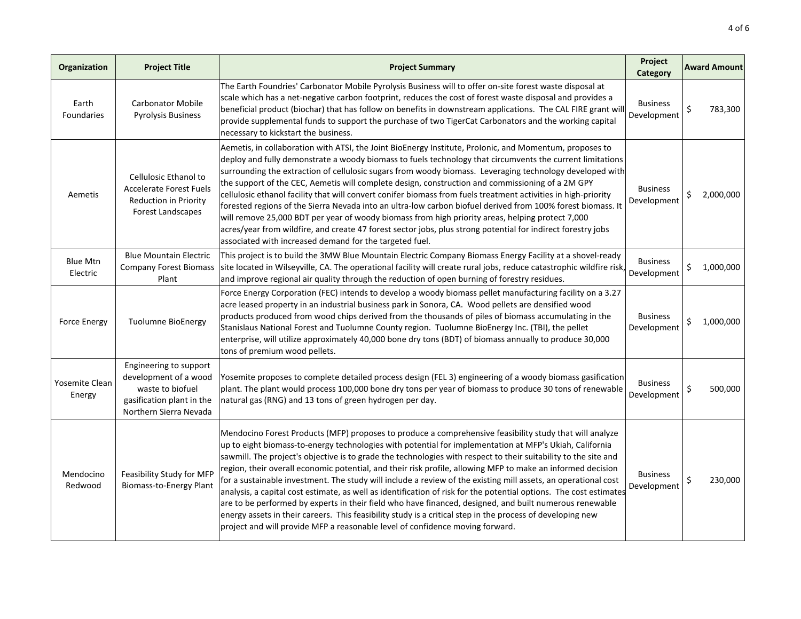| Organization                | <b>Project Title</b>                                                                                                       | <b>Project Summary</b>                                                                                                                                                                                                                                                                                                                                                                                                                                                                                                                                                                                                                                                                                                                                                                                                                                                                                                                                                                                 | Project<br>Category            | <b>Award Amount</b> |
|-----------------------------|----------------------------------------------------------------------------------------------------------------------------|--------------------------------------------------------------------------------------------------------------------------------------------------------------------------------------------------------------------------------------------------------------------------------------------------------------------------------------------------------------------------------------------------------------------------------------------------------------------------------------------------------------------------------------------------------------------------------------------------------------------------------------------------------------------------------------------------------------------------------------------------------------------------------------------------------------------------------------------------------------------------------------------------------------------------------------------------------------------------------------------------------|--------------------------------|---------------------|
| Earth<br>Foundaries         | <b>Carbonator Mobile</b><br><b>Pyrolysis Business</b>                                                                      | The Earth Foundries' Carbonator Mobile Pyrolysis Business will to offer on-site forest waste disposal at<br>scale which has a net-negative carbon footprint, reduces the cost of forest waste disposal and provides a<br>beneficial product (biochar) that has follow on benefits in downstream applications. The CAL FIRE grant will<br>provide supplemental funds to support the purchase of two TigerCat Carbonators and the working capital<br>necessary to kickstart the business.                                                                                                                                                                                                                                                                                                                                                                                                                                                                                                                | <b>Business</b><br>Development | \$<br>783,300       |
| Aemetis                     | Cellulosic Ethanol to<br><b>Accelerate Forest Fuels</b><br><b>Reduction in Priority</b><br>Forest Landscapes               | Aemetis, in collaboration with ATSI, the Joint BioEnergy Institute, Prolonic, and Momentum, proposes to<br>deploy and fully demonstrate a woody biomass to fuels technology that circumvents the current limitations<br>surrounding the extraction of cellulosic sugars from woody biomass. Leveraging technology developed with<br>the support of the CEC, Aemetis will complete design, construction and commissioning of a 2M GPY<br>cellulosic ethanol facility that will convert conifer biomass from fuels treatment activities in high-priority<br>forested regions of the Sierra Nevada into an ultra-low carbon biofuel derived from 100% forest biomass. It<br>will remove 25,000 BDT per year of woody biomass from high priority areas, helping protect 7,000<br>acres/year from wildfire, and create 47 forest sector jobs, plus strong potential for indirect forestry jobs<br>associated with increased demand for the targeted fuel.                                                   | <b>Business</b><br>Development | \$<br>2,000,000     |
| <b>Blue Mtn</b><br>Electric | <b>Blue Mountain Electric</b><br><b>Company Forest Biomass</b><br>Plant                                                    | This project is to build the 3MW Blue Mountain Electric Company Biomass Energy Facility at a shovel-ready<br>site located in Wilseyville, CA. The operational facility will create rural jobs, reduce catastrophic wildfire risk,<br>and improve regional air quality through the reduction of open burning of forestry residues.                                                                                                                                                                                                                                                                                                                                                                                                                                                                                                                                                                                                                                                                      | <b>Business</b><br>Development | Ś<br>1,000,000      |
| <b>Force Energy</b>         | <b>Tuolumne BioEnergy</b>                                                                                                  | Force Energy Corporation (FEC) intends to develop a woody biomass pellet manufacturing facility on a 3.27<br>acre leased property in an industrial business park in Sonora, CA. Wood pellets are densified wood<br>products produced from wood chips derived from the thousands of piles of biomass accumulating in the<br>Stanislaus National Forest and Tuolumne County region. Tuolumne BioEnergy Inc. (TBI), the pellet<br>enterprise, will utilize approximately 40,000 bone dry tons (BDT) of biomass annually to produce 30,000<br>tons of premium wood pellets.                                                                                                                                                                                                                                                                                                                                                                                                                                | <b>Business</b><br>Development | Ś<br>1,000,000      |
| Yosemite Clean<br>Energy    | Engineering to support<br>development of a wood<br>waste to biofuel<br>gasification plant in the<br>Northern Sierra Nevada | Yosemite proposes to complete detailed process design (FEL 3) engineering of a woody biomass gasification<br>plant. The plant would process 100,000 bone dry tons per year of biomass to produce 30 tons of renewable<br>natural gas (RNG) and 13 tons of green hydrogen per day.                                                                                                                                                                                                                                                                                                                                                                                                                                                                                                                                                                                                                                                                                                                      | <b>Business</b><br>Development | Ś<br>500,000        |
| Mendocino<br>Redwood        | Feasibility Study for MFP<br><b>Biomass-to-Energy Plant</b>                                                                | Mendocino Forest Products (MFP) proposes to produce a comprehensive feasibility study that will analyze<br>up to eight biomass-to-energy technologies with potential for implementation at MFP's Ukiah, California<br>sawmill. The project's objective is to grade the technologies with respect to their suitability to the site and<br>region, their overall economic potential, and their risk profile, allowing MFP to make an informed decision<br>for a sustainable investment. The study will include a review of the existing mill assets, an operational cost<br>analysis, a capital cost estimate, as well as identification of risk for the potential options. The cost estimates<br>are to be performed by experts in their field who have financed, designed, and built numerous renewable<br>energy assets in their careers. This feasibility study is a critical step in the process of developing new<br>project and will provide MFP a reasonable level of confidence moving forward. | <b>Business</b><br>Development | \$<br>230,000       |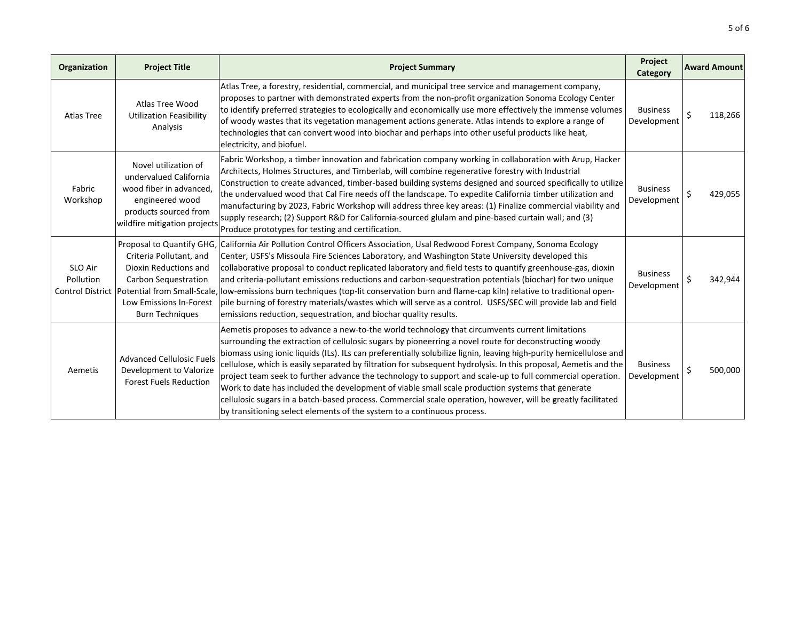| Organization         | <b>Project Title</b>                                                                                                                                  | <b>Project Summary</b>                                                                                                                                                                                                                                                                                                                                                                                                                                                                                                                                                                                                                                                                                                                                                                                                                                       | Project<br>Category            | <b>Award Amount</b> |
|----------------------|-------------------------------------------------------------------------------------------------------------------------------------------------------|--------------------------------------------------------------------------------------------------------------------------------------------------------------------------------------------------------------------------------------------------------------------------------------------------------------------------------------------------------------------------------------------------------------------------------------------------------------------------------------------------------------------------------------------------------------------------------------------------------------------------------------------------------------------------------------------------------------------------------------------------------------------------------------------------------------------------------------------------------------|--------------------------------|---------------------|
| <b>Atlas Tree</b>    | Atlas Tree Wood<br><b>Utilization Feasibility</b><br>Analysis                                                                                         | Atlas Tree, a forestry, residential, commercial, and municipal tree service and management company,<br>proposes to partner with demonstrated experts from the non-profit organization Sonoma Ecology Center<br>to identify preferred strategies to ecologically and economically use more effectively the immense volumes<br>of woody wastes that its vegetation management actions generate. Atlas intends to explore a range of<br>technologies that can convert wood into biochar and perhaps into other useful products like heat,<br>electricity, and biofuel.                                                                                                                                                                                                                                                                                          | <b>Business</b><br>Development | Ś<br>118,266        |
| Fabric<br>Workshop   | Novel utilization of<br>undervalued California<br>wood fiber in advanced,<br>engineered wood<br>products sourced from<br>wildfire mitigation projects | Fabric Workshop, a timber innovation and fabrication company working in collaboration with Arup, Hacker<br>Architects, Holmes Structures, and Timberlab, will combine regenerative forestry with Industrial<br>Construction to create advanced, timber-based building systems designed and sourced specifically to utilize<br>the undervalued wood that Cal Fire needs off the landscape. To expedite California timber utilization and<br>manufacturing by 2023, Fabric Workshop will address three key areas: (1) Finalize commercial viability and<br>supply research; (2) Support R&D for California-sourced glulam and pine-based curtain wall; and (3)<br>Produce prototypes for testing and certification.                                                                                                                                            | <b>Business</b><br>Development | Ś<br>429,055        |
| SLO Air<br>Pollution | Criteria Pollutant, and<br>Dioxin Reductions and<br>Carbon Sequestration<br>Low Emissions In-Forest<br><b>Burn Techniques</b>                         | Proposal to Quantify GHG, California Air Pollution Control Officers Association, Usal Redwood Forest Company, Sonoma Ecology<br>Center, USFS's Missoula Fire Sciences Laboratory, and Washington State University developed this<br>collaborative proposal to conduct replicated laboratory and field tests to quantify greenhouse-gas, dioxin<br>and criteria-pollutant emissions reductions and carbon-sequestration potentials (biochar) for two unique<br>Control District  Potential from Small-Scale,  low-emissions burn techniques (top-lit conservation burn and flame-cap kiln) relative to traditional open-<br>pile burning of forestry materials/wastes which will serve as a control. USFS/SEC will provide lab and field<br>emissions reduction, sequestration, and biochar quality results.                                                  | <b>Business</b><br>Development | Ś.<br>342,944       |
| Aemetis              | <b>Advanced Cellulosic Fuels</b><br>Development to Valorize<br><b>Forest Fuels Reduction</b>                                                          | Aemetis proposes to advance a new-to-the world technology that circumvents current limitations<br>surrounding the extraction of cellulosic sugars by pioneerring a novel route for deconstructing woody<br>biomass using ionic liquids (ILs). ILs can preferentially solubilize lignin, leaving high-purity hemicellulose and<br>cellulose, which is easily separated by filtration for subsequent hydrolysis. In this proposal, Aemetis and the<br>project team seek to further advance the technology to support and scale-up to full commercial operation.<br>Work to date has included the development of viable small scale production systems that generate<br>cellulosic sugars in a batch-based process. Commercial scale operation, however, will be greatly facilitated<br>by transitioning select elements of the system to a continuous process. | <b>Business</b><br>Development | Ś<br>500,000        |